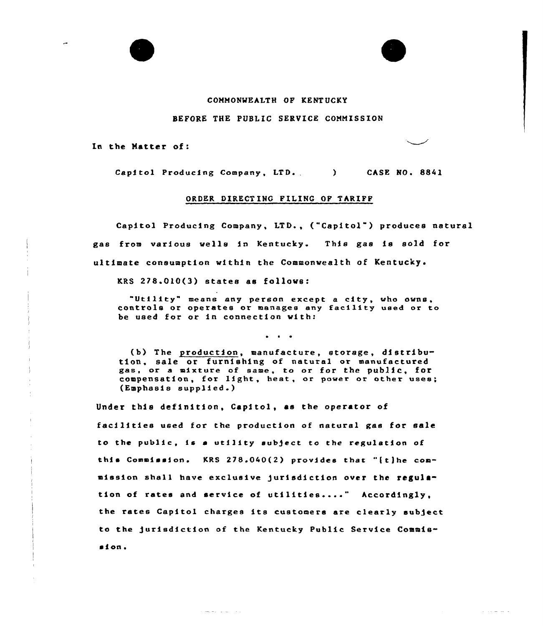## CONNONWEALTH OP KENT UCKY

## BEFORE THE PUBLIC SERVICE CONNISSION

In the Natter of:

Capitol Producing Company, LTD. (ASE NO. 8841)

## ORDER DIRECT INC PILING OP TARIPP

Capitol Producing Company, LTD., ("Capitol") produces natural gas from various wells in Kentucky. This gas is sold for ultimate consumption within the Commonwealth of Kentucky.

KRS 278.010(3) states as follows:

 $\omega_{\rm{min}} = 1/(\omega_{\rm{max}} - \omega_{\rm{min}})$ 

"Utility" means any person except <sup>a</sup> city, who owns, controls or operates or manages any facility used or to be used for ot in connection with:

 $\bullet$   $\bullet$   $\bullet$ 

(b) The production, manufacture, storage, distribution, sale or furnishing of natural or manufactured gas, or a mixture of same, to or for the public, for compensation, for light, heat, or power or other uses; {Emphasis supplied.)

Under this definition, Capitol, as the operator of facilities used for the production of natural gas for sale to the public, is a utility subject to the regulation of this Commission. KRS 278.040(2) provides that "[t]he commission shall have exclusive jurisdiction over the regulamission shall have exclusive jurisdiction over the regultion of rates and service of utilities...." Accordingly the rates Capitol charges its customers are clearly sub)ect to the )urisdiction of the Kentucky Public Service Commission.

and the second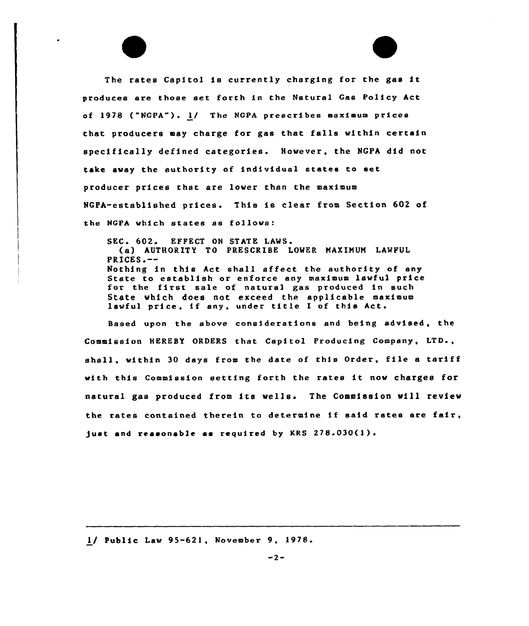The rates Capitol is currently charging for the gas it produces are those set forth in the Natural Gas Policy hct of 1978 ("NGPA"). 1/ The NGPA prescribes maximum prices that producers may charge for gas that falls within certain specifically defined categories. However, the NGPA did not take avay the authority of individual states to set producer prices that are lover than the maximum NGPA-established prices. This is clear from Section 602 of the NGPA which states as follows:

SEC. 602. EFFECT ON STATE LAWS. (a) AUTHORITY TO PRESCRIBE LOWER MAXIMUM LAWFUL  $PRTCES$ .  $-$ Nothing in this hct shall affect the authority of any State to establish o r enforce any maximum lawful price state to establish of enforce any maximum fawful pro<br>for the first sale of natural gas produced in such State which does not exceed the applicable maximu state which does not exceed the applicable man<br>lawful price, if any, under title I of this Act.

Based upon the above cons1deratione end being advised, the Commission HEREBY ORDERS that Capitol Producing Company, LTD., shall, vithin <sup>30</sup> days from the date of this Order, file <sup>a</sup> tariff with this Commission setting forth the rates 1t nov charges for natural gas produced from its wells. The Commission will review the rates contained therein to determine if said rates are fair, just and reasonable as required by KRS  $278.030(1)$ .

<sup>1/</sup> Public Law 95-621, November 9, 1978